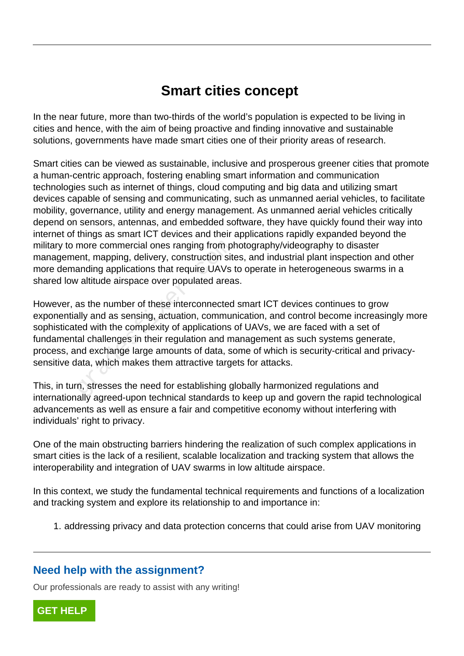## **Smart cities concept**

In the near future, more than two-thirds of the world's population is expected to be living in cities and hence, with the aim of being proactive and finding innovative and sustainable solutions, governments have made smart cities one of their priority areas of research.

Smart cities can be viewed as sustainable, inclusive and prosperous greener cities that promote a human-centric approach, fostering enabling smart information and communication technologies such as internet of things, cloud computing and big data and utilizing smart devices capable of sensing and communicating, such as unmanned aerial vehicles, to facilitate mobility, governance, utility and energy management. As unmanned aerial vehicles critically depend on sensors, antennas, and embedded software, they have quickly found their way into internet of things as smart ICT devices and their applications rapidly expanded beyond the military to more commercial ones ranging from photography/videography to disaster management, mapping, delivery, construction sites, and industrial plant inspection and other more demanding applications that require UAVs to operate in heterogeneous swarms in a shared low altitude airspace over populated areas.

However, as the number of these interconnected smart ICT devices continues to grow exponentially and as sensing, actuation, communication, and control become increasingly more sophisticated with the complexity of applications of UAVs, we are faced with a set of fundamental challenges in their regulation and management as such systems generate, process, and exchange large amounts of data, some of which is security-critical and privacysensitive data, which makes them attractive targets for attacks. more commercial ones ranging from plent, mapping, delivery, construction site<br>anding applications that require UAVs is<br>anding applications that require UAVs is<br>as the number of these interconnected<br>ally and as sensing, act

This, in turn, stresses the need for establishing globally harmonized regulations and internationally agreed-upon technical standards to keep up and govern the rapid technological advancements as well as ensure a fair and competitive economy without interfering with individuals' right to privacy.

One of the main obstructing barriers hindering the realization of such complex applications in smart cities is the lack of a resilient, scalable localization and tracking system that allows the interoperability and integration of UAV swarms in low altitude airspace.

In this context, we study the fundamental technical requirements and functions of a localization and tracking system and explore its relationship to and importance in:

1. addressing privacy and data protection concerns that could arise from UAV monitoring

## **Need help with the assignment?**

Our professionals are ready to assist with any writing!